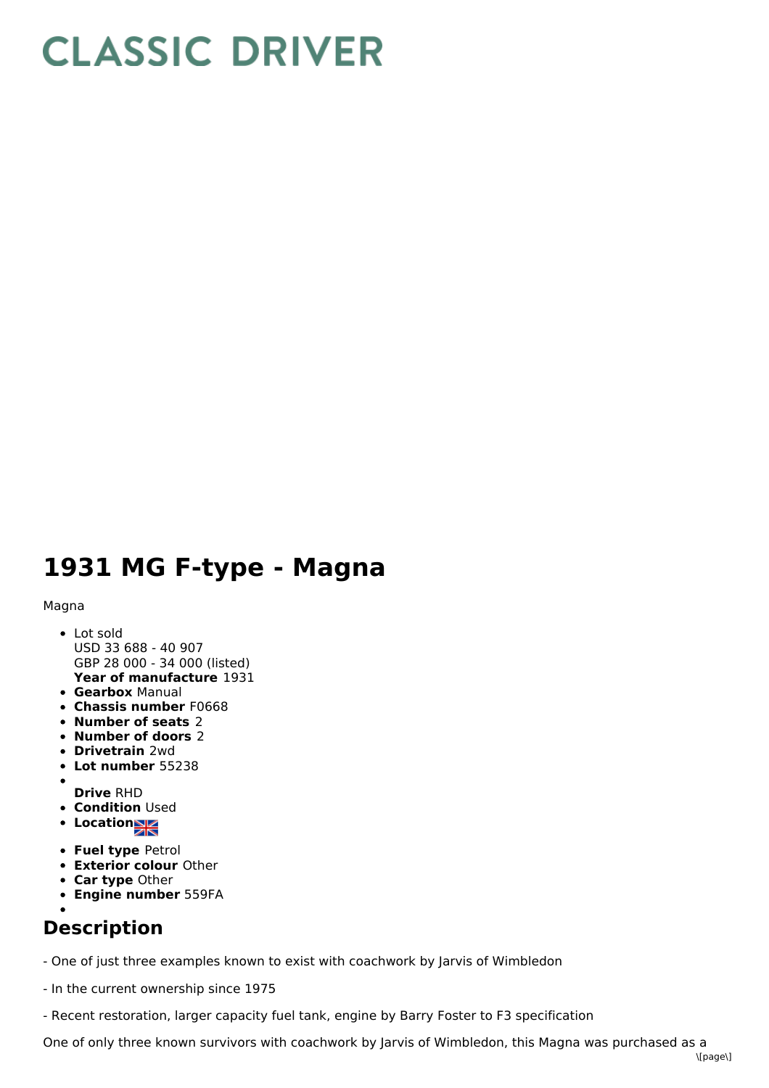## **CLASSIC DRIVER**

## **1931 MG F-type - Magna**

## Magna

- **Year of manufacture** 1931 • Lot sold USD 33 688 - 40 907 GBP 28 000 - 34 000 (listed)
- **Gearbox** Manual
- **Chassis number** F0668
- **Number of seats** 2
- **Number of doors** 2
- **Drivetrain** 2wd
- **Lot number** 55238
- 
- **Drive** RHD **• Condition Used**
- Location<sub>NA</sub>
- 
- **Fuel type** Petrol
- **Exterior colour** Other
- **Car type** Other **Engine number** 559FA
- 

## **Description**

- One of just three examples known to exist with coachwork by Jarvis of Wimbledon

- In the current ownership since 1975
- Recent restoration, larger capacity fuel tank, engine by Barry Foster to F3 specification

One of only three known survivors with coachwork by Jarvis of Wimbledon, this Magna was purchased as a